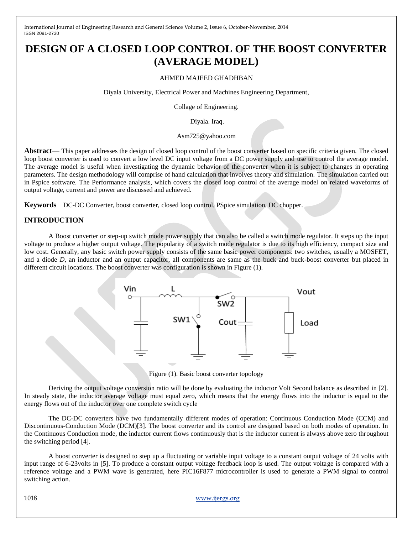# **DESIGN OF A CLOSED LOOP CONTROL OF THE BOOST CONVERTER (AVERAGE MODEL)**

#### AHMED MAJEED GHADHBAN

Diyala University, Electrical Power and Machines Engineering Department,

Collage of Engineering.

Diyala. Iraq.

#### Asm725@yahoo.com

**Abstract**— This paper addresses the design of closed loop control of the boost converter based on specific criteria given. The closed loop boost converter is used to convert a low level DC input voltage from a DC power supply and use to control the average model. The average model is useful when investigating the dynamic behavior of the converter when it is subject to changes in operating parameters. The design methodology will comprise of hand calculation that involves theory and simulation. The simulation carried out in Pspice software. The Performance analysis, which covers the closed loop control of the average model on related waveforms of output voltage, current and power are discussed and achieved.

**Keywords**— DC-DC Converter, boost converter, closed loop control, PSpice simulation, DC chopper.

### **INTRODUCTION**

A Boost converter or step-up switch mode power supply that can also be called a switch mode regulator. It steps up the input voltage to produce a higher output voltage. The popularity of a switch mode regulator is due to its high efficiency, compact size and low cost. Generally, any basic switch power supply consists of the same basic power components: two switches, usually a MOSFET, and a diode *D*, an inductor and an output capacitor, all components are same as the buck and buck-boost converter but placed in different circuit locations. The boost converter was configuration is shown in Figure (1).



Figure (1). Basic boost converter topology

Deriving the output voltage conversion ratio will be done by evaluating the inductor Volt Second balance as described in [2]. In steady state, the inductor average voltage must equal zero, which means that the energy flows into the inductor is equal to the energy flows out of the inductor over one complete switch cycle

The DC-DC converters have two fundamentally different modes of operation: Continuous Conduction Mode (CCM) and Discontinuous-Conduction Mode (DCM)[3]. The boost converter and its control are designed based on both modes of operation. In the Continuous Conduction mode, the inductor current flows continuously that is the inductor current is always above zero throughout the switching period [4].

A boost converter is designed to step up a fluctuating or variable input voltage to a constant output voltage of 24 volts with input range of 6-23volts in [5]. To produce a constant output voltage feedback loop is used. The output voltage is compared with a reference voltage and a PWM wave is generated, here PIC16F877 microcontroller is used to generate a PWM signal to control switching action.

1018 www.ijergs.org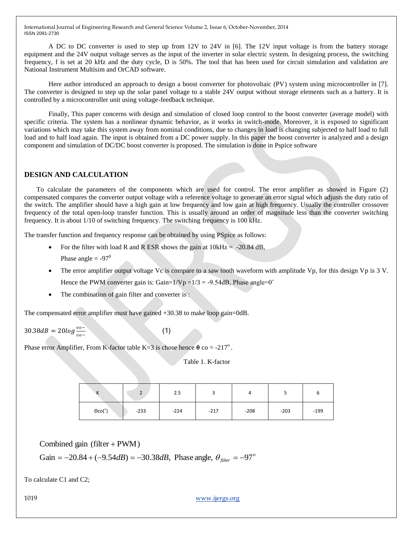A DC to DC converter is used to step up from 12V to 24V in [6]. The 12V input voltage is from the battery storage equipment and the 24V output voltage serves as the input of the inverter in solar electric system. In designing process, the switching frequency, f is set at 20 kHz and the duty cycle, D is 50%. The tool that has been used for circuit simulation and validation are National Instrument Multisim and OrCAD software.

Here author introduced an approach to design a boost converter for photovoltaic (PV) system using microcontroller in [7]. The converter is designed to step up the solar panel voltage to a stable 24V output without storage elements such as a battery. It is controlled by a microcontroller unit using voltage-feedback technique.

Finally, This paper concerns with design and simulation of closed loop control to the boost converter (average model) with specific criteria. The system has a nonlinear dynamic behavior, as it works in switch-mode. Moreover, it is exposed to significant variations which may take this system away from nominal conditions, due to changes in load is changing subjected to half load to full load and to half load again. The input is obtained from a DC power supply. In this paper the boost converter is analyzed and a design component and simulation of DC/DC boost converter is proposed. The simulation is done in Pspice software

## **DESIGN AND CALCULATION**

To calculate the parameters of the components which are used for control. The error amplifier as showed in Figure (2) compensated compares the converter output voltage with a reference voltage to generate an error signal which adjusts the duty ratio of the switch. The amplifier should have a high gain at low frequency and low gain at high frequency. Usually the controller crossover frequency of the total open-loop transfer function. This is usually around an order of magnitude less than the converter switching frequency. It is about 1/10 of switching frequency. The switching frequency is 100 kHz.

The transfer function and frequency response can be obtained by using PSpice as follows:

For the filter with load R and R ESR shows the gain at  $10kHz = -20.84 dB$ , Phase angle  $= -97^0$ 

(1)

- The error amplifier output voltage Vc is compare to a saw tooth waveform with amplitude Vp, for this design Vp is 3 V. Hence the PWM converter gain is: Gain= $1/Vp = 1/3 = -9.54dB$ , Phase angle=0<sup>°</sup>
- The combination of gain filter and converter is :

The compensated error amplifier must have gained +30.38 to make loop gain=0dB.

$$
30.38dB = 20log \frac{v_0}{v_0}
$$

Phase error Amplifier, From K-factor table K=3 is chose hence  $\theta$  co = -217<sup>o</sup>.

Table 1. K-factor

| $\mathbf{v}$<br>n        | $\mathbf{\hat{}}$<br>Ź | 2.5    |        |        |        | O      |
|--------------------------|------------------------|--------|--------|--------|--------|--------|
| $\Theta$ co( $\degree$ ) | $-233$                 | $-224$ | $-217$ | $-208$ | $-203$ | $-199$ |

Combined gain (filter +  $PWM$ )

Gain = 
$$
-20.84 + (-9.54dB) = -30.38dB
$$
, Phase angle,  $\theta_{filter} = -97^{\circ}$ 

To calculate C1 and C2;

1019 www.ijergs.org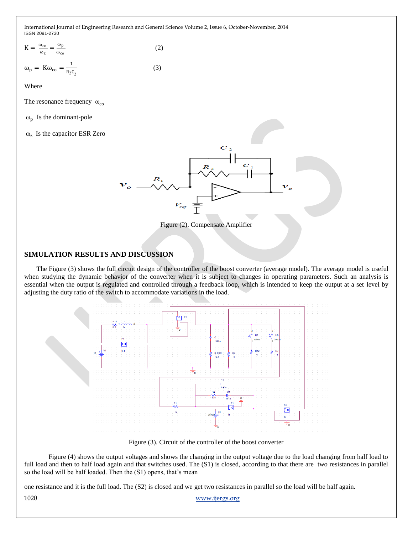$$
K = \frac{\omega_{\text{co}}}{\omega_z} = \frac{\omega_p}{\omega_{\text{co}}}
$$
\n
$$
\omega_p = K\omega_{\text{co}} = \frac{1}{R_2C_2}
$$
\n(2)

Where

The resonance frequency  $\omega_{\rm co}$ 

 $\omega_p$  Is the dominant-pole

ωz Is the capacitor ESR Zero



Figure (2). Compensate Amplifier

#### **SIMULATION RESULTS AND DISCUSSION**

The Figure (3) shows the full circuit design of the controller of the boost converter (average model). The average model is useful when studying the dynamic behavior of the converter when it is subject to changes in operating parameters. Such an analysis is essential when the output is regulated and controlled through a feedback loop, which is intended to keep the output at a set level by adjusting the duty ratio of the switch to accommodate variations in the load.



Figure (3). Circuit of the controller of the boost converter

Figure (4) shows the output voltages and shows the changing in the output voltage due to the load changing from half load to full load and then to half load again and that switches used. The (S1) is closed, according to that there are two resistances in parallel so the load will be half loaded. Then the (S1) opens, that's mean

one resistance and it is the full load. The (S2) is closed and we get two resistances in parallel so the load will be half again.

1020 www.ijergs.org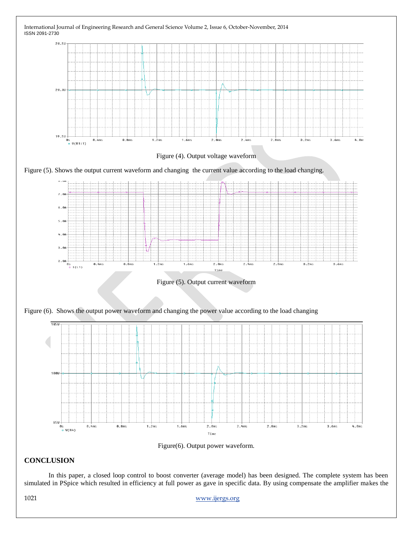

Figure(6). Output power waveform.

## **CONCLUSION**

In this paper, a closed loop control to boost converter (average model) has been designed. The complete system has been simulated in PSpice which resulted in efficiency at full power as gave in specific data. By using compensate the amplifier makes the